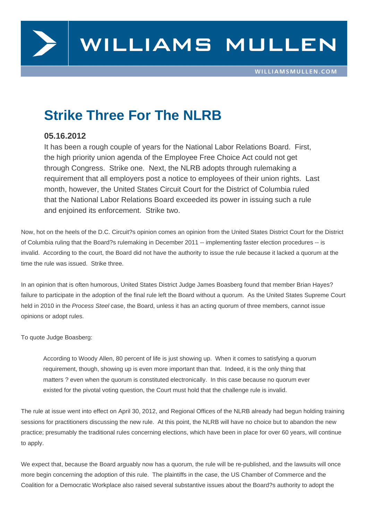

## **Strike Three For The NLRB**

## **05.16.2012**

It has been a rough couple of years for the National Labor Relations Board. First, the high priority union agenda of the Employee Free Choice Act could not get through Congress. Strike one. Next, the NLRB adopts through rulemaking a requirement that all employers post a notice to employees of their union rights. Last month, however, the United States Circuit Court for the District of Columbia ruled that the National Labor Relations Board exceeded its power in issuing such a rule and enjoined its enforcement. Strike two.

Now, hot on the heels of the D.C. Circuit?s opinion comes an opinion from the United States District Court for the District of Columbia ruling that the Board?s rulemaking in December 2011 -- implementing faster election procedures -- is invalid. According to the court, the Board did not have the authority to issue the rule because it lacked a quorum at the time the rule was issued. Strike three.

In an opinion that is often humorous, United States District Judge James Boasberg found that member Brian Hayes? failure to participate in the adoption of the final rule left the Board without a quorum. As the United States Supreme Court held in 2010 in the Process Steel case, the Board, unless it has an acting quorum of three members, cannot issue opinions or adopt rules.

To quote Judge Boasberg:

According to Woody Allen, 80 percent of life is just showing up. When it comes to satisfying a quorum requirement, though, showing up is even more important than that. Indeed, it is the only thing that matters ? even when the quorum is constituted electronically. In this case because no quorum ever existed for the pivotal voting question, the Court must hold that the challenge rule is invalid.

The rule at issue went into effect on April 30, 2012, and Regional Offices of the NLRB already had begun holding training sessions for practitioners discussing the new rule. At this point, the NLRB will have no choice but to abandon the new practice; presumably the traditional rules concerning elections, which have been in place for over 60 years, will continue to apply.

We expect that, because the Board arguably now has a quorum, the rule will be re-published, and the lawsuits will once more begin concerning the adoption of this rule. The plaintiffs in the case, the US Chamber of Commerce and the Coalition for a Democratic Workplace also raised several substantive issues about the Board?s authority to adopt the